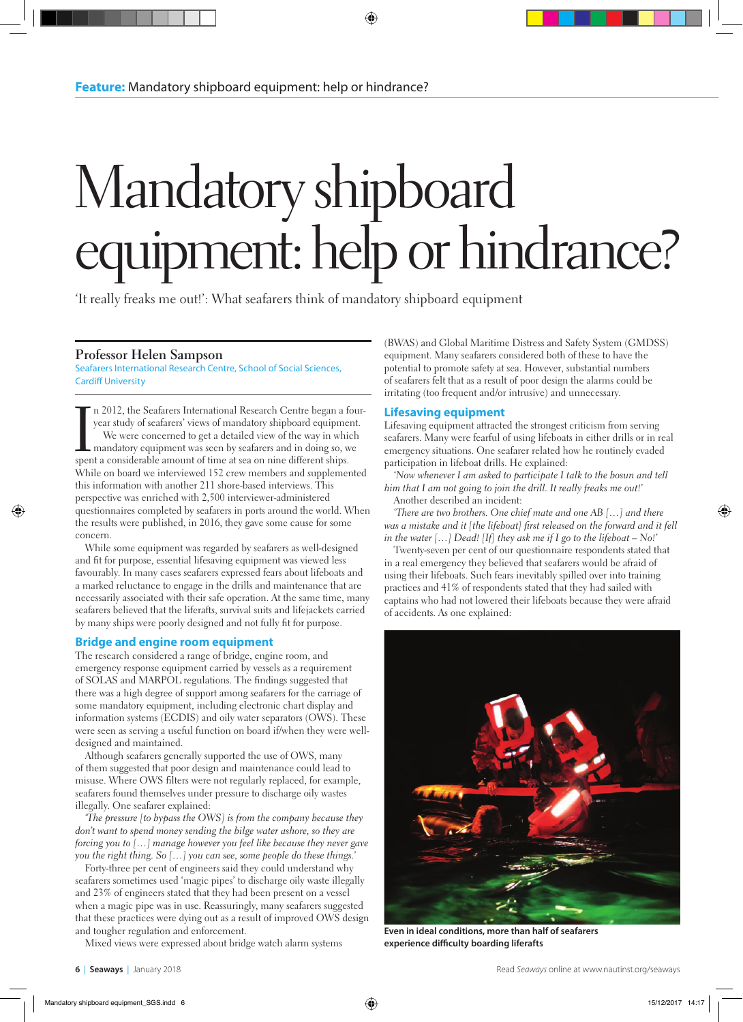## Mandatory shipboard equipment: help or hindrance?

'It really freaks me out!': What seafarers think of mandatory shipboard equipment

## **Professor Helen Sampson**

Seafarers International Research Centre, School of Social Sciences, Cardiff University

In 2012, the Seafarers International Research Centre began a fe year study of seafarers' views of mandatory shipboard equipment We were concerned to get a detailed view of the way in which mandatory equipment was seen by s n 2012, the Seafarers International Research Centre began a fouryear study of seafarers' views of mandatory shipboard equipment. We were concerned to get a detailed view of the way in which mandatory equipment was seen by seafarers and in doing so, we While on board we interviewed 152 crew members and supplemented this information with another 211 shore-based interviews. This perspective was enriched with 2,500 interviewer-administered questionnaires completed by seafarers in ports around the world. When the results were published, in 2016, they gave some cause for some concern.

While some equipment was regarded by seafarers as well-designed and fit for purpose, essential lifesaving equipment was viewed less favourably. In many cases seafarers expressed fears about lifeboats and a marked reluctance to engage in the drills and maintenance that are necessarily associated with their safe operation. At the same time, many seafarers believed that the liferafts, survival suits and lifejackets carried by many ships were poorly designed and not fully fit for purpose.

## **Bridge and engine room equipment**

The research considered a range of bridge, engine room, and emergency response equipment carried by vessels as a requirement of SOLAS and MARPOL regulations. The findings suggested that there was a high degree of support among seafarers for the carriage of some mandatory equipment, including electronic chart display and information systems (ECDIS) and oily water separators (OWS). These were seen as serving a useful function on board if/when they were welldesigned and maintained.

Although seafarers generally supported the use of OWS, many of them suggested that poor design and maintenance could lead to misuse. Where OWS filters were not regularly replaced, for example, seafarers found themselves under pressure to discharge oily wastes illegally. One seafarer explained:

*'The pressure [to bypass the OWS] is from the company because they don't want to spend money sending the bilge water ashore, so they are forcing you to […] manage however you feel like because they never gave you the right thing. So […] you can see, some people do these things.'*

Forty-three per cent of engineers said they could understand why seafarers sometimes used 'magic pipes' to discharge oily waste illegally and 23% of engineers stated that they had been present on a vessel when a magic pipe was in use. Reassuringly, many seafarers suggested that these practices were dying out as a result of improved OWS design and tougher regulation and enforcement.

Mixed views were expressed about bridge watch alarm systems

(BWAS) and Global Maritime Distress and Safety System (GMDSS) equipment. Many seafarers considered both of these to have the potential to promote safety at sea. However, substantial numbers of seafarers felt that as a result of poor design the alarms could be irritating (too frequent and/or intrusive) and unnecessary.

## **Lifesaving equipment**

Lifesaving equipment attracted the strongest criticism from serving seafarers. Many were fearful of using lifeboats in either drills or in real emergency situations. One seafarer related how he routinely evaded participation in lifeboat drills. He explained:

*'Now whenever I am asked to participate I talk to the bosun and tell him that I am not going to join the drill. It really freaks me out!'* Another described an incident:

*'There are two brothers. One chief mate and one AB […] and there*  was a mistake and it [the lifeboat] first released on the forward and it fell *in the water […] Dead! [If] they ask me if I go to the lifeboat – No!'*

Twenty-seven per cent of our questionnaire respondents stated that in a real emergency they believed that seafarers would be afraid of using their lifeboats. Such fears inevitably spilled over into training practices and 41% of respondents stated that they had sailed with captains who had not lowered their lifeboats because they were afraid of accidents. As one explained:



**Even in ideal conditions, more than half of seafarers experience difficulty boarding liferafts**